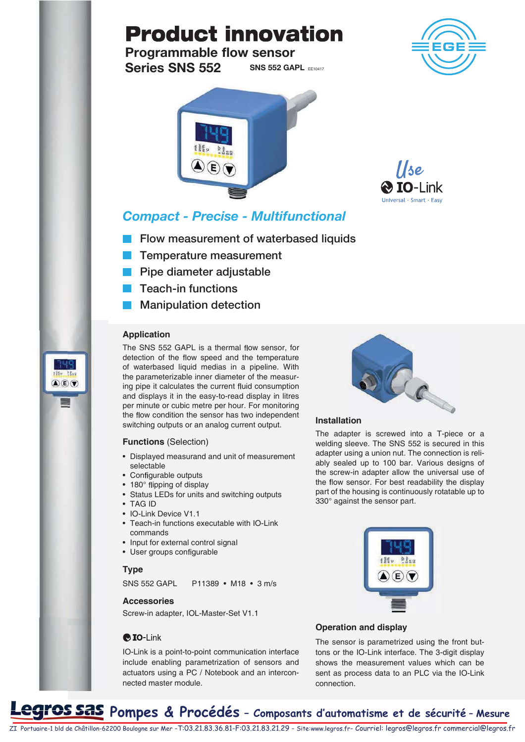# **Product innovation**

**SNS 552 GAPL EE10417** Programmable flow sensor Series SNS 552



### Compact - Precise - Multifunctional

- **Filow measurement of waterbased liquids**
- **Temperature measurement**
- **Pipe diameter adjustable**
- **T** Teach-in functions
- **Manipulation detection**

#### **Application**

סווי

 $\mathbf{A}(\mathbf{E})\mathbf{F}$ 

The SNS 552 GAPL is a thermal flow sensor, for detection of the flow speed and the temperature of waterbased liquid medias in a pipeline. With the parameterizable inner diameter of the measuring pipe it calculates the current fluid consumption and displays it in the easy-to-read display in litres per minute or cubic metre per hour. For monitoring the flow condition the sensor has two independent switching outputs or an analog current output.

#### **Functions** (Selection)

- Displayed measurand and unit of measurement selectable
- Configurable outputs
- 180° flipping of display
- Status LEDs for units and switching outputs
- TAG ID
- IO-Link Device V1.1
- Teach-in functions executable with IO-Link commands
- Input for external control signal
- User groups configurable

#### **Type**

SNS 552 GAPL P11389 • M18 • 3 m/s

#### **Accessories**

Screw-in adapter, IOL-Master-Set V1.1

#### $\bigcirc$  IO-Link

IO-Link is a point-to-point communication interface include enabling parametrization of sensors and actuators using a PC / Notebook and an interconnected master module.



#### **Installation**

The adapter is screwed into a T-piece or a welding sleeve. The SNS 552 is secured in this adapter using a union nut. The connection is reliably sealed up to 100 bar. Various designs of the screw-in adapter allow the universal use of the flow sensor. For best readability the display part of the housing is continuously rotatable up to 330° against the sensor part.



#### **Operation and display**

The sensor is parametrized using the front buttons or the IO-Link interface. The 3-digit display shows the measurement values which can be sent as process data to an PLC via the IO-Link connection.





## **OS SAS** Pompes & Procédés - Composants d'automatisme et de sécurité - Mesure